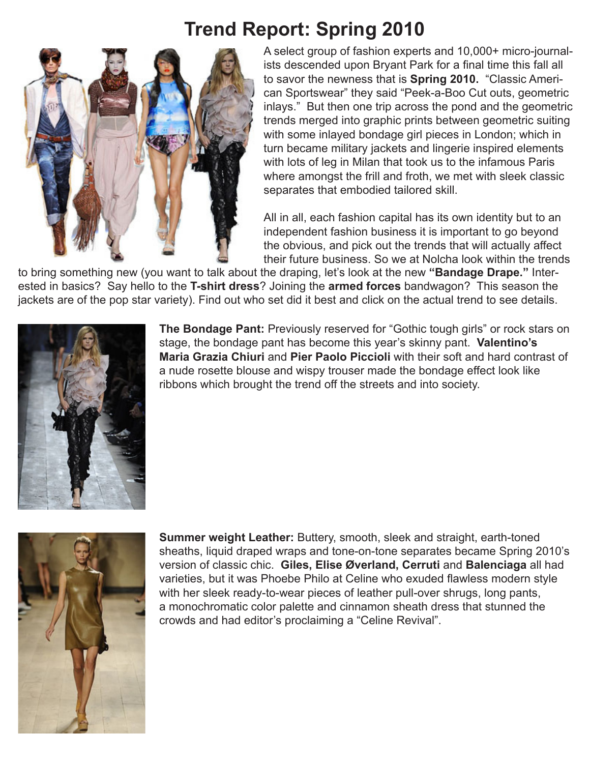## **Trend Report: Spring 2010**



A select group of fashion experts and 10,000+ micro-journalists descended upon Bryant Park for a final time this fall all to savor the newness that is **Spring 2010.** "Classic American Sportswear" they said "Peek-a-Boo Cut outs, geometric inlays." But then one trip across the pond and the geometric trends merged into graphic prints between geometric suiting with some inlayed bondage girl pieces in London; which in turn became military jackets and lingerie inspired elements with lots of leg in Milan that took us to the infamous Paris where amongst the frill and froth, we met with sleek classic separates that embodied tailored skill.

All in all, each fashion capital has its own identity but to an independent fashion business it is important to go beyond the obvious, and pick out the trends that will actually affect their future business. So we at Nolcha look within the trends

to bring something new (you want to talk about the draping, let's look at the new **"Bandage Drape."** Interested in basics? Say hello to the **T-shirt dress**? Joining the **armed forces** bandwagon? This season the jackets are of the pop star variety). Find out who set did it best and click on the actual trend to see details.



**The Bondage Pant:** Previously reserved for "Gothic tough girls" or rock stars on stage, the bondage pant has become this year's skinny pant. **Valentino's Maria Grazia Chiuri** and **Pier Paolo Piccioli** with their soft and hard contrast of a nude rosette blouse and wispy trouser made the bondage effect look like ribbons which brought the trend off the streets and into society.



**Summer weight Leather:** Buttery, smooth, sleek and straight, earth-toned sheaths, liquid draped wraps and tone-on-tone separates became Spring 2010's version of classic chic. **Giles, Elise Øverland, Cerruti** and **Balenciaga** all had varieties, but it was Phoebe Philo at Celine who exuded flawless modern style with her sleek ready-to-wear pieces of leather pull-over shrugs, long pants, a monochromatic color palette and cinnamon sheath dress that stunned the crowds and had editor's proclaiming a "Celine Revival".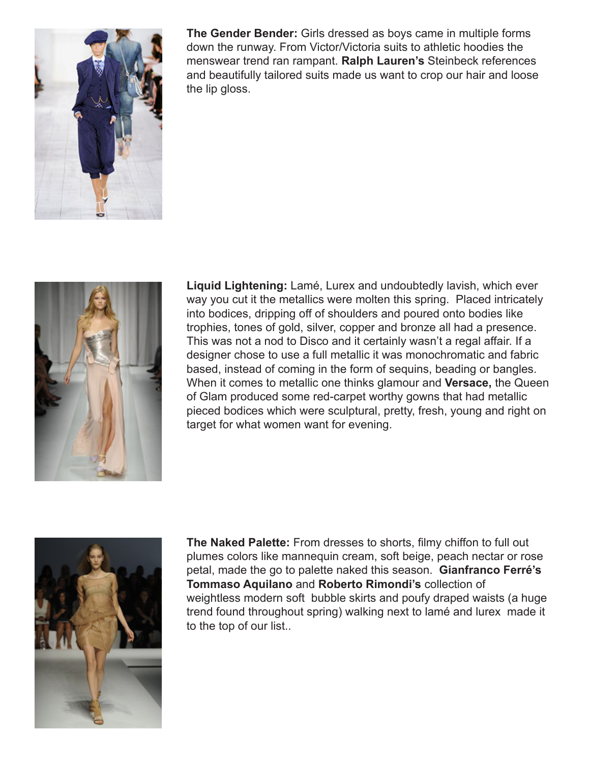

**The Gender Bender:** Girls dressed as boys came in multiple forms down the runway. From Victor/Victoria suits to athletic hoodies the menswear trend ran rampant. **Ralph Lauren's** Steinbeck references and beautifully tailored suits made us want to crop our hair and loose the lip gloss.



**Liquid Lightening:** Lamé, Lurex and undoubtedly lavish, which ever way you cut it the metallics were molten this spring. Placed intricately into bodices, dripping off of shoulders and poured onto bodies like trophies, tones of gold, silver, copper and bronze all had a presence. This was not a nod to Disco and it certainly wasn't a regal affair. If a designer chose to use a full metallic it was monochromatic and fabric based, instead of coming in the form of sequins, beading or bangles. When it comes to metallic one thinks glamour and **Versace,** the Queen of Glam produced some red-carpet worthy gowns that had metallic pieced bodices which were sculptural, pretty, fresh, young and right on target for what women want for evening.



**The Naked Palette:** From dresses to shorts, filmy chiffon to full out plumes colors like mannequin cream, soft beige, peach nectar or rose petal, made the go to palette naked this season. **Gianfranco Ferré's Tommaso Aquilano** and **Roberto Rimondi's** collection of weightless modern soft bubble skirts and poufy draped waists (a huge trend found throughout spring) walking next to lamé and lurex made it to the top of our list..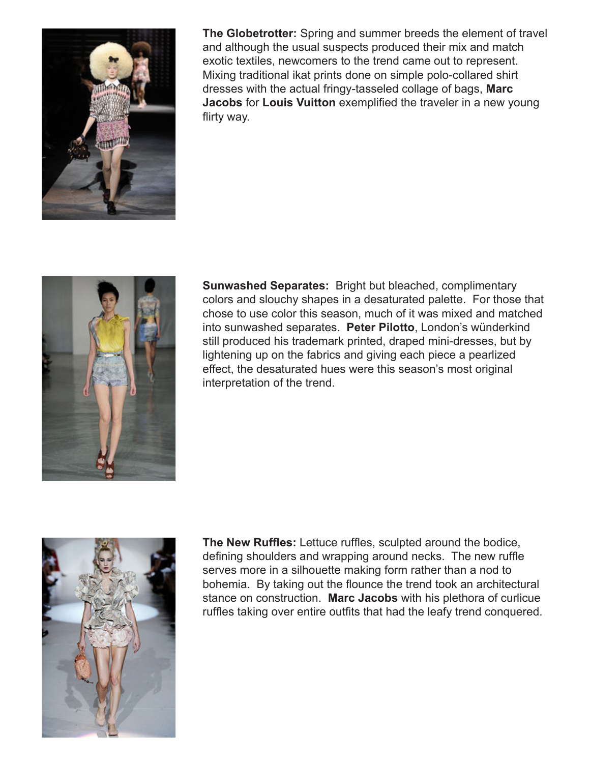

**The Globetrotter:** Spring and summer breeds the element of travel and although the usual suspects produced their mix and match exotic textiles, newcomers to the trend came out to represent. Mixing traditional ikat prints done on simple polo-collared shirt dresses with the actual fringy-tasseled collage of bags, **Marc Jacobs** for **Louis Vuitton** exemplified the traveler in a new young flirty way.



**Sunwashed Separates:** Bright but bleached, complimentary colors and slouchy shapes in a desaturated palette. For those that chose to use color this season, much of it was mixed and matched into sunwashed separates. **Peter Pilotto**, London's wünderkind still produced his trademark printed, draped mini-dresses, but by lightening up on the fabrics and giving each piece a pearlized effect, the desaturated hues were this season's most original interpretation of the trend.



**The New Ruffles:** Lettuce ruffles, sculpted around the bodice, defining shoulders and wrapping around necks. The new ruffle serves more in a silhouette making form rather than a nod to bohemia. By taking out the flounce the trend took an architectural stance on construction. **Marc Jacobs** with his plethora of curlicue ruffles taking over entire outfits that had the leafy trend conquered.